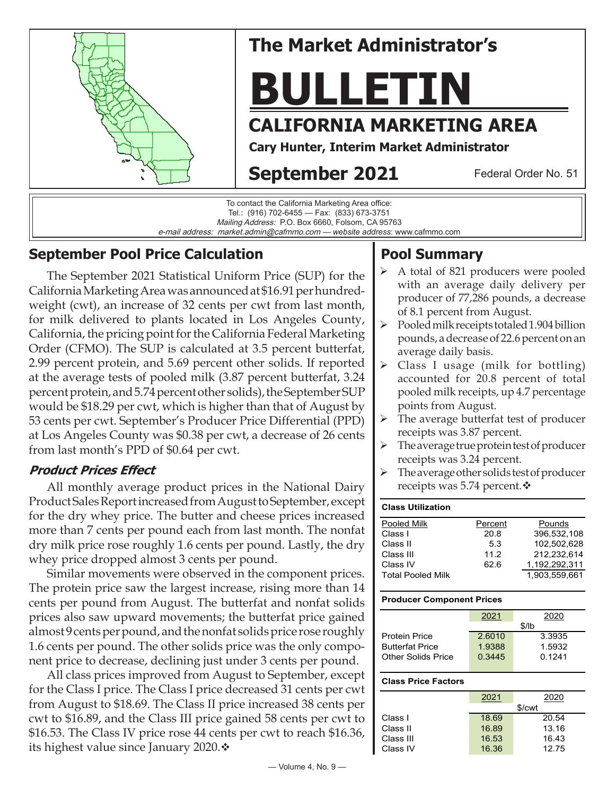

e-mail address: market.admin@cafmmo.com — *website address*: www.cafmmo.com

## **September Pool Price Calculation**

The September 2021 Statistical Uniform Price (SUP) for the California Marketing Area was announced at \$16.91 per hundredweight (cwt), an increase of 32 cents per cwt from last month, for milk delivered to plants located in Los Angeles County, California, the pricing point for the California Federal Marketing Order (CFMO). The SUP is calculated at 3.5 percent butterfat, 2.99 percent protein, and 5.69 percent other solids. If reported at the average tests of pooled milk (3.87 percent butterfat, 3.24 percent protein, and 5.74 percent other solids), the September SUP would be \$18.29 per cwt, which is higher than that of August by 53 cents per cwt. September's Producer Price Differential (PPD) at Los Angeles County was \$0.38 per cwt, a decrease of 26 cents from last month's PPD of \$0.64 per cwt.

### **Product Prices Effect**

All monthly average product prices in the National Dairy Product Sales Report increased from August to September, except for the dry whey price. The butter and cheese prices increased more than 7 cents per pound each from last month. The nonfat dry milk price rose roughly 1.6 cents per pound. Lastly, the dry whey price dropped almost 3 cents per pound.

Similar movements were observed in the component prices. The protein price saw the largest increase, rising more than 14 cents per pound from August. The butterfat and nonfat solids prices also saw upward movements; the butterfat price gained almost 9 cents per pound, and the nonfat solids price rose roughly 1.6 cents per pound. The other solids price was the only component price to decrease, declining just under 3 cents per pound.

All class prices improved from August to September, except for the Class I price. The Class I price decreased 31 cents per cwt from August to \$18.69. The Class II price increased 38 cents per cwt to \$16.89, and the Class III price gained 58 cents per cwt to \$16.53. The Class IV price rose 44 cents per cwt to reach \$16.36, its highest value since January 2020. $\div$ 

# **Pool Summary**

- A total of 821 producers were pooled with an average daily delivery per producer of 77,286 pounds, a decrease of 8.1 percent from August.
- $\triangleright$  Pooled milk receipts totaled 1.904 billion pounds, a decrease of 22.6 percent on an average daily basis.
- $\triangleright$  Class I usage (milk for bottling) accounted for 20.8 percent of total pooled milk receipts, up 4.7 percentage points from August.
- > The average butterfat test of producer receipts was 3.87 percent.
- $\triangleright$  The average true protein test of producer receipts was 3.24 percent.
- $\triangleright$  The average other solids test of producer receipts was 5.74 percent. $\mathbf{\hat{v}}$

| <b>Class Utilization</b> |         |               |
|--------------------------|---------|---------------|
| Pooled Milk              | Percent | Pounds        |
| Class I                  | 20.8    | 396.532.108   |
| Class II                 | 53      | 102,502,628   |
| Class III                | 11.2    | 212.232.614   |
| Class IV                 | 62.6    | 1,192,292,311 |
| <b>Total Pooled Milk</b> |         | 1.903.559.661 |

#### **Producer Component Prices**

|                        | 2021   | 2020   |
|------------------------|--------|--------|
|                        |        | \$/lb  |
| <b>Protein Price</b>   | 2.6010 | 3.3935 |
| <b>Butterfat Price</b> | 1.9388 | 1.5932 |
| Other Solids Price     | 0.3445 | 0.1241 |
|                        |        |        |

#### **Class Price Factors**

|           | 2021  | 2020   |
|-----------|-------|--------|
|           |       | \$/cwt |
| Class I   | 18.69 | 20.54  |
| Class II  | 16.89 | 13.16  |
| Class III | 16.53 | 16.43  |
| Class IV  | 16.36 | 12.75  |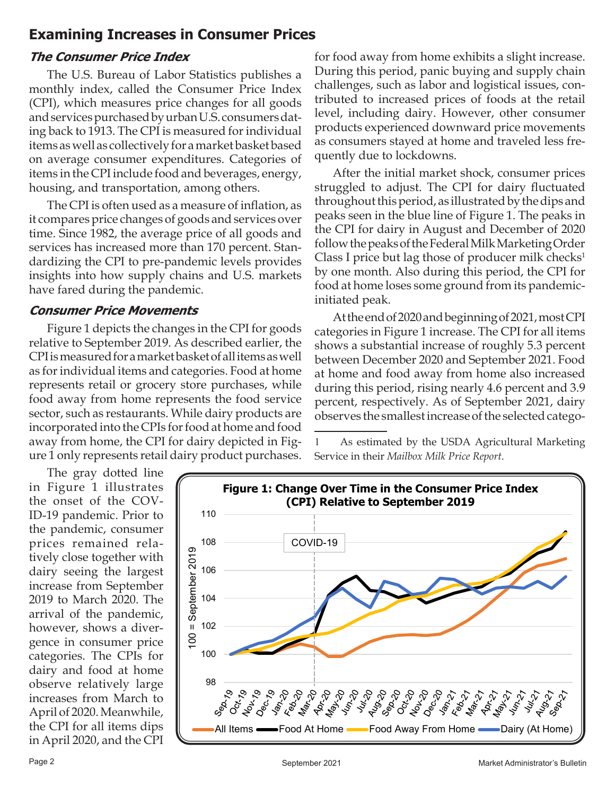## **Examining Increases in Consumer Prices**

### **The Consumer Price Index**

The U.S. Bureau of Labor Statistics publishes a monthly index, called the Consumer Price Index (CPI), which measures price changes for all goods and services purchased by urban U.S. consumers dating back to 1913. The CPI is measured for individual items as well as collectively for a market basket based on average consumer expenditures. Categories of items in the CPI include food and beverages, energy, housing, and transportation, among others.

The CPI is often used as a measure of inflation, as it compares price changes of goods and services over time. Since 1982, the average price of all goods and services has increased more than 170 percent. Standardizing the CPI to pre-pandemic levels provides insights into how supply chains and U.S. markets have fared during the pandemic.

#### **Consumer Price Movements**

Figure 1 depicts the changes in the CPI for goods relative to September 2019. As described earlier, the CPI is measured for a market basket of all items as well as for individual items and categories. Food at home represents retail or grocery store purchases, while food away from home represents the food service sector, such as restaurants. While dairy products are incorporated into the CPIs for food at home and food away from home, the CPI for dairy depicted in Figure 1 only represents retail dairy product purchases.

for food away from home exhibits a slight increase. During this period, panic buying and supply chain challenges, such as labor and logistical issues, contributed to increased prices of foods at the retail level, including dairy. However, other consumer products experienced downward price movements as consumers stayed at home and traveled less frequently due to lockdowns.

After the initial market shock, consumer prices struggled to adjust. The CPI for dairy fluctuated throughout this period, as illustrated by the dips and peaks seen in the blue line of Figure 1. The peaks in the CPI for dairy in August and December of 2020 follow the peaks of the Federal Milk Marketing Order Class I price but lag those of producer milk checks<sup>1</sup> by one month. Also during this period, the CPI for food at home loses some ground from its pandemicinitiated peak.

At the end of 2020 and beginning of 2021, most CPI categories in Figure 1 increase. The CPI for all items shows a substantial increase of roughly 5.3 percent between December 2020 and September 2021. Food at home and food away from home also increased during this period, rising nearly 4.6 percent and 3.9 percent, respectively. As of September 2021, dairy observes the smallest increase of the selected catego-

1 As estimated by the USDA Agricultural Marketing Service in their *Mailbox Milk Price Report*.

The gray dotted line in Figure 1 illustrates the onset of the COV-ID-19 pandemic. Prior to the pandemic, consumer prices remained relatively close together with dairy seeing the largest increase from September 2019 to March 2020. The arrival of the pandemic, however, shows a divergence in consumer price categories. The CPIs for dairy and food at home observe relatively large increases from March to April of 2020. Meanwhile, the CPI for all items dips in April 2020, and the CPI

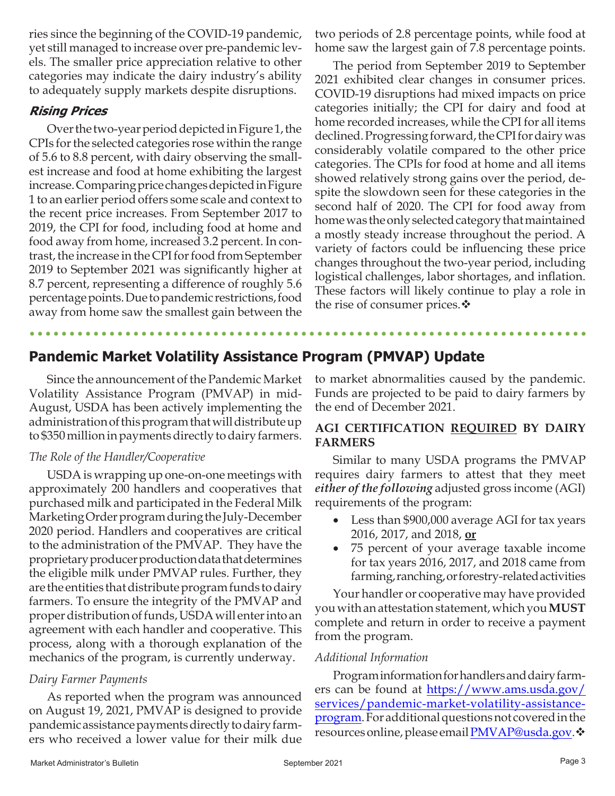ries since the beginning of the COVID-19 pandemic, yet still managed to increase over pre-pandemic levels. The smaller price appreciation relative to other categories may indicate the dairy industry's ability to adequately supply markets despite disruptions.

### **Rising Prices**

Over the two-year period depicted in Figure 1, the CPIs for the selected categories rose within the range of 5.6 to 8.8 percent, with dairy observing the smallest increase and food at home exhibiting the largest increase. Comparing price changes depicted in Figure 1 to an earlier period offers some scale and context to the recent price increases. From September 2017 to 2019, the CPI for food, including food at home and food away from home, increased 3.2 percent. In contrast, the increase in the CPI for food from September 2019 to September 2021 was significantly higher at 8.7 percent, representing a difference of roughly 5.6 percentage points. Due to pandemic restrictions, food away from home saw the smallest gain between the

two periods of 2.8 percentage points, while food at home saw the largest gain of 7.8 percentage points.

The period from September 2019 to September 2021 exhibited clear changes in consumer prices. COVID-19 disruptions had mixed impacts on price categories initially; the CPI for dairy and food at home recorded increases, while the CPI for all items declined. Progressing forward, the CPI for dairy was considerably volatile compared to the other price categories. The CPIs for food at home and all items showed relatively strong gains over the period, despite the slowdown seen for these categories in the second half of 2020. The CPI for food away from home was the only selected category that maintained a mostly steady increase throughout the period. A variety of factors could be influencing these price changes throughout the two-year period, including logistical challenges, labor shortages, and inflation. These factors will likely continue to play a role in the rise of consumer prices. $\mathbf{\hat{v}}$ 

## **Pandemic Market Volatility Assistance Program (PMVAP) Update**

Since the announcement of the Pandemic Market Volatility Assistance Program (PMVAP) in mid-August, USDA has been actively implementing the administration of this program that will distribute up to \$350 million in payments directly to dairy farmers.

#### *The Role of the Handler/Cooperative*

USDA is wrapping up one-on-one meetings with approximately 200 handlers and cooperatives that purchased milk and participated in the Federal Milk Marketing Order program during the July-December 2020 period. Handlers and cooperatives are critical to the administration of the PMVAP. They have the proprietary producer production data that determines the eligible milk under PMVAP rules. Further, they are the entities that distribute program funds to dairy farmers. To ensure the integrity of the PMVAP and proper distribution of funds, USDA will enter into an agreement with each handler and cooperative. This process, along with a thorough explanation of the mechanics of the program, is currently underway.

#### *Dairy Farmer Payments*

As reported when the program was announced on August 19, 2021, PMVAP is designed to provide pandemic assistance payments directly to dairy farmers who received a lower value for their milk due

to market abnormalities caused by the pandemic. Funds are projected to be paid to dairy farmers by the end of December 2021.

#### **AGI CERTIFICATION REQUIRED BY DAIRY FARMERS**

Similar to many USDA programs the PMVAP requires dairy farmers to attest that they meet *either of the following* adjusted gross income (AGI) requirements of the program:

- Less than \$900,000 average AGI for tax years 2016, 2017, and 2018, **or**
- 75 percent of your average taxable income for tax years 2016, 2017, and 2018 came from farming, ranching, or forestry-related activities

Your handler or cooperative may have provided you with an attestation statement, which you **MUST**  complete and return in order to receive a payment from the program.

#### *Additional Information*

Program information for handlers and dairy farmers can be found at [https://www.ams.usda.gov/](https://www.ams.usda.gov/services/pandemic-market-volatility-assistance-program) [services/pandemic-market-volatility-assistance](https://www.ams.usda.gov/services/pandemic-market-volatility-assistance-program)[program.](https://www.ams.usda.gov/services/pandemic-market-volatility-assistance-program) For additional questions not covered in the resources online, please email PMVAP@usda.gov. ❖